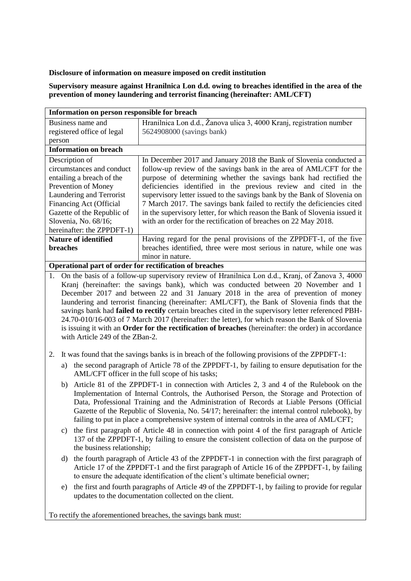## **Disclosure of information on measure imposed on credit institution**

**Supervisory measure against Hranilnica Lon d.d. owing to breaches identified in the area of the prevention of money laundering and terrorist financing (hereinafter: AML/CFT)**

| Information on person responsible for breach            |                                                                            |
|---------------------------------------------------------|----------------------------------------------------------------------------|
| Business name and                                       | Hranilnica Lon d.d., Žanova ulica 3, 4000 Kranj, registration number       |
| registered office of legal                              | 5624908000 (savings bank)                                                  |
| person                                                  |                                                                            |
| <b>Information on breach</b>                            |                                                                            |
| Description of                                          | In December 2017 and January 2018 the Bank of Slovenia conducted a         |
| circumstances and conduct                               | follow-up review of the savings bank in the area of AML/CFT for the        |
| entailing a breach of the                               | purpose of determining whether the savings bank had rectified the          |
| Prevention of Money                                     | deficiencies identified in the previous review and cited in the            |
| Laundering and Terrorist                                | supervisory letter issued to the savings bank by the Bank of Slovenia on   |
| Financing Act (Official                                 | 7 March 2017. The savings bank failed to rectify the deficiencies cited    |
| Gazette of the Republic of                              | in the supervisory letter, for which reason the Bank of Slovenia issued it |
| Slovenia, No. 68/16;                                    | with an order for the rectification of breaches on 22 May 2018.            |
| hereinafter: the ZPPDFT-1)                              |                                                                            |
| <b>Nature of identified</b>                             | Having regard for the penal provisions of the ZPPDFT-1, of the five        |
| <b>breaches</b>                                         | breaches identified, three were most serious in nature, while one was      |
|                                                         | minor in nature.                                                           |
| Operational part of order for rectification of breaches |                                                                            |

**Operational part of order for rectification of breaches**

1. On the basis of a follow-up supervisory review of Hranilnica Lon d.d., Kranj, of Žanova 3, 4000 Kranj (hereinafter: the savings bank), which was conducted between 20 November and 1 December 2017 and between 22 and 31 January 2018 in the area of prevention of money laundering and terrorist financing (hereinafter: AML/CFT), the Bank of Slovenia finds that the savings bank had **failed to rectify** certain breaches cited in the supervisory letter referenced PBH-24.70-010/16-003 of 7 March 2017 (hereinafter: the letter), for which reason the Bank of Slovenia is issuing it with an **Order for the rectification of breaches** (hereinafter: the order) in accordance with Article 249 of the ZBan-2.

- 2. It was found that the savings banks is in breach of the following provisions of the ZPPDFT-1:
	- a) the second paragraph of Article 78 of the ZPPDFT-1, by failing to ensure deputisation for the AML/CFT officer in the full scope of his tasks;
	- b) Article 81 of the ZPPDFT-1 in connection with Articles 2, 3 and 4 of the Rulebook on the Implementation of Internal Controls, the Authorised Person, the Storage and Protection of Data, Professional Training and the Administration of Records at Liable Persons (Official Gazette of the Republic of Slovenia, No. 54/17; hereinafter: the internal control rulebook), by failing to put in place a comprehensive system of internal controls in the area of AML/CFT;
	- c) the first paragraph of Article 48 in connection with point 4 of the first paragraph of Article 137 of the ZPPDFT-1, by failing to ensure the consistent collection of data on the purpose of the business relationship;
	- d) the fourth paragraph of Article 43 of the ZPPDFT-1 in connection with the first paragraph of Article 17 of the ZPPDFT-1 and the first paragraph of Article 16 of the ZPPDFT-1, by failing to ensure the adequate identification of the client's ultimate beneficial owner;
	- e) the first and fourth paragraphs of Article 49 of the ZPPDFT-1, by failing to provide for regular updates to the documentation collected on the client.

To rectify the aforementioned breaches, the savings bank must: